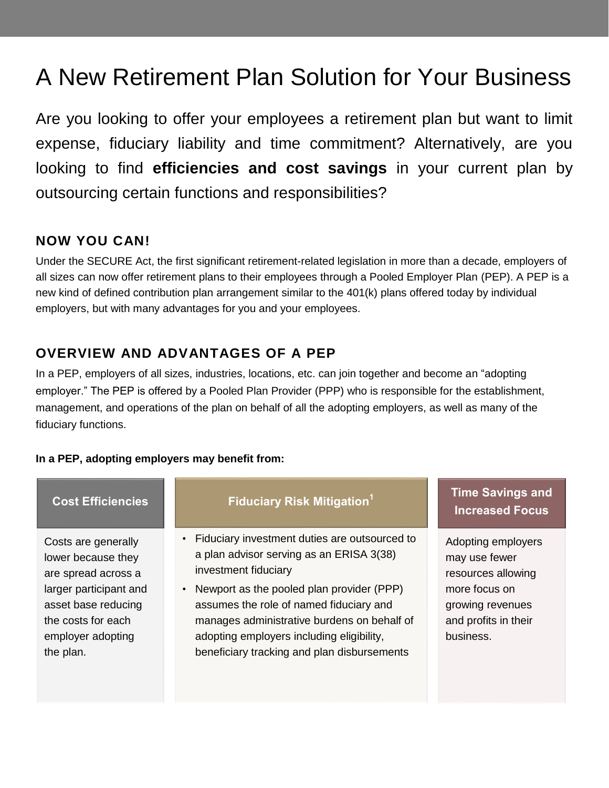# A New Retirement Plan Solution for Your Business

Are you looking to offer your employees a retirement plan but want to limit expense, fiduciary liability and time commitment? Alternatively, are you looking to find **efficiencies and cost savings** in your current plan by outsourcing certain functions and responsibilities?

## **NOW YOU CAN!**

Under the SECURE Act, the first significant retirement-related legislation in more than a decade, employers of all sizes can now offer retirement plans to their employees through a Pooled Employer Plan (PEP). A PEP is a new kind of defined contribution plan arrangement similar to the 401(k) plans offered today by individual employers, but with many advantages for you and your employees.

## **OVERVIEW AND ADVANTAGES OF A PEP**

In a PEP, employers of all sizes, industries, locations, etc. can join together and become an "adopting employer." The PEP is offered by a Pooled Plan Provider (PPP) who is responsible for the establishment, management, and operations of the plan on behalf of all the adopting employers, as well as many of the fiduciary functions.

#### **In a PEP, adopting employers may benefit from:**

#### **Cost Efficiencies**

Costs are generally lower because they are spread across a larger participant and asset base reducing the costs for each employer adopting the plan.

### **Fiduciary Risk Mitigation<sup>1</sup>**

- Fiduciary investment duties are outsourced to a plan advisor serving as an ERISA 3(38) investment fiduciary
- Newport as the pooled plan provider (PPP) assumes the role of named fiduciary and manages administrative burdens on behalf of adopting employers including eligibility, beneficiary tracking and plan disbursements

## **Time Savings and Increased Focus**

Adopting employers may use fewer resources allowing more focus on growing revenues and profits in their business.